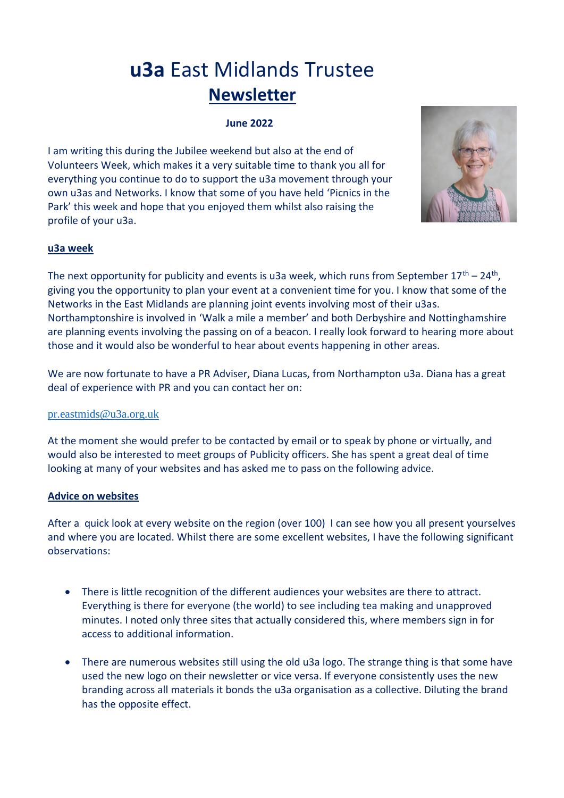# **u3a** East Midlands Trustee **Newsletter**

## **June 2022**

I am writing this during the Jubilee weekend but also at the end of Volunteers Week, which makes it a very suitable time to thank you all for everything you continue to do to support the u3a movement through your own u3as and Networks. I know that some of you have held 'Picnics in the Park' this week and hope that you enjoyed them whilst also raising the profile of your u3a.



## **u3a week**

The next opportunity for publicity and events is u3a week, which runs from September  $17<sup>th</sup> - 24<sup>th</sup>$ , giving you the opportunity to plan your event at a convenient time for you. I know that some of the Networks in the East Midlands are planning joint events involving most of their u3as. Northamptonshire is involved in 'Walk a mile a member' and both Derbyshire and Nottinghamshire are planning events involving the passing on of a beacon. I really look forward to hearing more about those and it would also be wonderful to hear about events happening in other areas.

We are now fortunate to have a PR Adviser, Diana Lucas, from Northampton u3a. Diana has a great deal of experience with PR and you can contact her on:

### [pr.eastmids@u3a.org.uk](mailto:pr.eastmids@u3a.org.uk)

At the moment she would prefer to be contacted by email or to speak by phone or virtually, and would also be interested to meet groups of Publicity officers. She has spent a great deal of time looking at many of your websites and has asked me to pass on the following advice.

### **Advice on websites**

After a quick look at every website on the region (over 100) I can see how you all present yourselves and where you are located. Whilst there are some excellent websites, I have the following significant observations:

- There is little recognition of the different audiences your websites are there to attract. Everything is there for everyone (the world) to see including tea making and unapproved minutes. I noted only three sites that actually considered this, where members sign in for access to additional information.
- There are numerous websites still using the old u3a logo. The strange thing is that some have used the new logo on their newsletter or vice versa. If everyone consistently uses the new branding across all materials it bonds the u3a organisation as a collective. Diluting the brand has the opposite effect.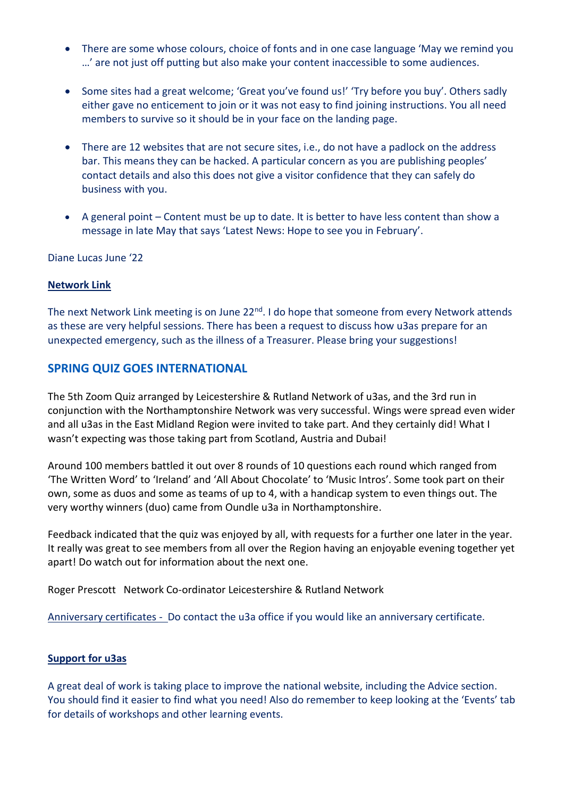- There are some whose colours, choice of fonts and in one case language 'May we remind you …' are not just off putting but also make your content inaccessible to some audiences.
- Some sites had a great welcome; 'Great you've found us!' 'Try before you buy'. Others sadly either gave no enticement to join or it was not easy to find joining instructions. You all need members to survive so it should be in your face on the landing page.
- There are 12 websites that are not secure sites, i.e., do not have a padlock on the address bar. This means they can be hacked. A particular concern as you are publishing peoples' contact details and also this does not give a visitor confidence that they can safely do business with you.
- A general point Content must be up to date. It is better to have less content than show a message in late May that says 'Latest News: Hope to see you in February'.

Diane Lucas June '22

#### **Network Link**

The next Network Link meeting is on June 22<sup>nd</sup>. I do hope that someone from every Network attends as these are very helpful sessions. There has been a request to discuss how u3as prepare for an unexpected emergency, such as the illness of a Treasurer. Please bring your suggestions!

## **SPRING QUIZ GOES INTERNATIONAL**

The 5th Zoom Quiz arranged by Leicestershire & Rutland Network of u3as, and the 3rd run in conjunction with the Northamptonshire Network was very successful. Wings were spread even wider and all u3as in the East Midland Region were invited to take part. And they certainly did! What I wasn't expecting was those taking part from Scotland, Austria and Dubai!

Around 100 members battled it out over 8 rounds of 10 questions each round which ranged from 'The Written Word' to 'Ireland' and 'All About Chocolate' to 'Music Intros'. Some took part on their own, some as duos and some as teams of up to 4, with a handicap system to even things out. The very worthy winners (duo) came from Oundle u3a in Northamptonshire.

Feedback indicated that the quiz was enjoyed by all, with requests for a further one later in the year. It really was great to see members from all over the Region having an enjoyable evening together yet apart! Do watch out for information about the next one.

Roger Prescott Network Co-ordinator Leicestershire & Rutland Network

Anniversary certificates - Do contact the u3a office if you would like an anniversary certificate.

### **Support for u3as**

A great deal of work is taking place to improve the national website, including the Advice section. You should find it easier to find what you need! Also do remember to keep looking at the 'Events' tab for details of workshops and other learning events.